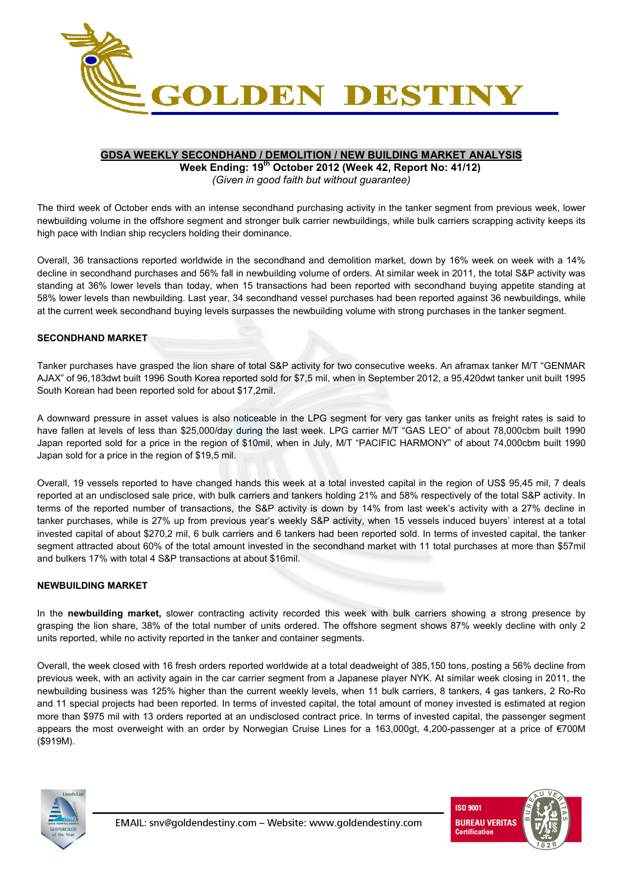

### **GDSA WEEKLY SECONDHAND / DEMOLITION / NEW BUILDING MARKET ANALYSIS**

**Week Ending: 19th October 2012 (Week 42, Report No: 41/12)**  *(Given in good faith but without guarantee)* 

The third week of October ends with an intense secondhand purchasing activity in the tanker segment from previous week, lower newbuilding volume in the offshore segment and stronger bulk carrier newbuildings, while bulk carriers scrapping activity keeps its high pace with Indian ship recyclers holding their dominance.

Overall, 36 transactions reported worldwide in the secondhand and demolition market, down by 16% week on week with a 14% decline in secondhand purchases and 56% fall in newbuilding volume of orders. At similar week in 2011, the total S&P activity was standing at 36% lower levels than today, when 15 transactions had been reported with secondhand buying appetite standing at 58% lower levels than newbuilding. Last year, 34 secondhand vessel purchases had been reported against 36 newbuildings, while at the current week secondhand buying levels surpasses the newbuilding volume with strong purchases in the tanker segment.

#### **SECONDHAND MARKET**

Tanker purchases have grasped the lion share of total S&P activity for two consecutive weeks. An aframax tanker M/T "GENMAR AJAX" of 96,183dwt built 1996 South Korea reported sold for \$7,5 mil, when in September 2012, a 95,420dwt tanker unit built 1995 South Korean had been reported sold for about \$17,2mil.

A downward pressure in asset values is also noticeable in the LPG segment for very gas tanker units as freight rates is said to have fallen at levels of less than \$25,000/day during the last week. LPG carrier M/T "GAS LEO" of about 78,000cbm built 1990 Japan reported sold for a price in the region of \$10mil, when in July, M/T "PACIFIC HARMONY" of about 74,000cbm built 1990 Japan sold for a price in the region of \$19,5 mil.

Overall, 19 vessels reported to have changed hands this week at a total invested capital in the region of US\$ 95,45 mil, 7 deals reported at an undisclosed sale price, with bulk carriers and tankers holding 21% and 58% respectively of the total S&P activity. In terms of the reported number of transactions, the S&P activity is down by 14% from last week's activity with a 27% decline in tanker purchases, while is 27% up from previous year's weekly S&P activity, when 15 vessels induced buyers' interest at a total invested capital of about \$270,2 mil, 6 bulk carriers and 6 tankers had been reported sold. In terms of invested capital, the tanker segment attracted about 60% of the total amount invested in the secondhand market with 11 total purchases at more than \$57mil and bulkers 17% with total 4 S&P transactions at about \$16mil.

# **NEWBUILDING MARKET**

In the **newbuilding market,** slower contracting activity recorded this week with bulk carriers showing a strong presence by grasping the lion share, 38% of the total number of units ordered. The offshore segment shows 87% weekly decline with only 2 units reported, while no activity reported in the tanker and container segments.

Overall, the week closed with 16 fresh orders reported worldwide at a total deadweight of 385,150 tons, posting a 56% decline from previous week, with an activity again in the car carrier segment from a Japanese player NYK. At similar week closing in 2011, the newbuilding business was 125% higher than the current weekly levels, when 11 bulk carriers, 8 tankers, 4 gas tankers, 2 Ro-Ro and 11 special projects had been reported. In terms of invested capital, the total amount of money invested is estimated at region more than \$975 mil with 13 orders reported at an undisclosed contract price. In terms of invested capital, the passenger segment appears the most overweight with an order by Norwegian Cruise Lines for a 163,000gt, 4,200-passenger at a price of €700M (\$919M).